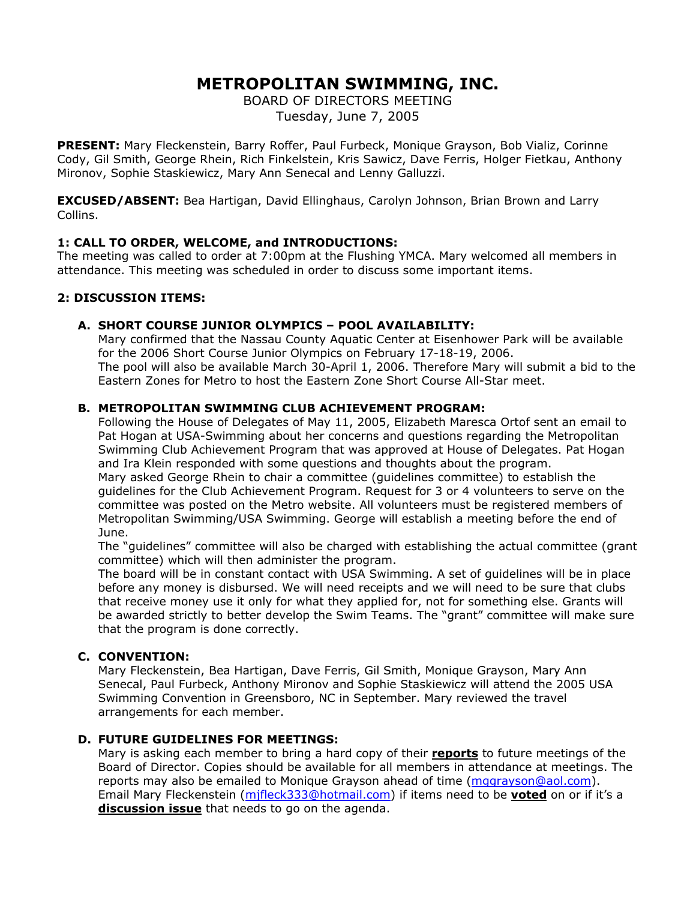# **METROPOLITAN SWIMMING, INC.**

BOARD OF DIRECTORS MEETING Tuesday, June 7, 2005

**PRESENT:** Mary Fleckenstein, Barry Roffer, Paul Furbeck, Monique Grayson, Bob Vializ, Corinne Cody, Gil Smith, George Rhein, Rich Finkelstein, Kris Sawicz, Dave Ferris, Holger Fietkau, Anthony Mironov, Sophie Staskiewicz, Mary Ann Senecal and Lenny Galluzzi.

**EXCUSED/ABSENT:** Bea Hartigan, David Ellinghaus, Carolyn Johnson, Brian Brown and Larry Collins.

# **1: CALL TO ORDER, WELCOME, and INTRODUCTIONS:**

The meeting was called to order at 7:00pm at the Flushing YMCA. Mary welcomed all members in attendance. This meeting was scheduled in order to discuss some important items.

# **2: DISCUSSION ITEMS:**

# **A. SHORT COURSE JUNIOR OLYMPICS – POOL AVAILABILITY:**

Mary confirmed that the Nassau County Aquatic Center at Eisenhower Park will be available for the 2006 Short Course Junior Olympics on February 17-18-19, 2006. The pool will also be available March 30-April 1, 2006. Therefore Mary will submit a bid to the Eastern Zones for Metro to host the Eastern Zone Short Course All-Star meet.

# **B. METROPOLITAN SWIMMING CLUB ACHIEVEMENT PROGRAM:**

Following the House of Delegates of May 11, 2005, Elizabeth Maresca Ortof sent an email to Pat Hogan at USA-Swimming about her concerns and questions regarding the Metropolitan Swimming Club Achievement Program that was approved at House of Delegates. Pat Hogan and Ira Klein responded with some questions and thoughts about the program.

Mary asked George Rhein to chair a committee (guidelines committee) to establish the guidelines for the Club Achievement Program. Request for 3 or 4 volunteers to serve on the committee was posted on the Metro website. All volunteers must be registered members of Metropolitan Swimming/USA Swimming. George will establish a meeting before the end of June.

The "guidelines" committee will also be charged with establishing the actual committee (grant committee) which will then administer the program.

The board will be in constant contact with USA Swimming. A set of guidelines will be in place before any money is disbursed. We will need receipts and we will need to be sure that clubs that receive money use it only for what they applied for, not for something else. Grants will be awarded strictly to better develop the Swim Teams. The "grant" committee will make sure that the program is done correctly.

# **C. CONVENTION:**

Mary Fleckenstein, Bea Hartigan, Dave Ferris, Gil Smith, Monique Grayson, Mary Ann Senecal, Paul Furbeck, Anthony Mironov and Sophie Staskiewicz will attend the 2005 USA Swimming Convention in Greensboro, NC in September. Mary reviewed the travel arrangements for each member.

#### **D. FUTURE GUIDELINES FOR MEETINGS:**

Mary is asking each member to bring a hard copy of their **reports** to future meetings of the Board of Director. Copies should be available for all members in attendance at meetings. The reports may also be emailed to Monique Grayson ahead of time ([mggrayson@aol.com](mailto:mggrayson@aol.com)). Email Mary Fleckenstein ([mjfleck333@hotmail.com\)](mailto:mjfleck333@hotmail.com) if items need to be **voted** on or if it's a **discussion issue** that needs to go on the agenda.